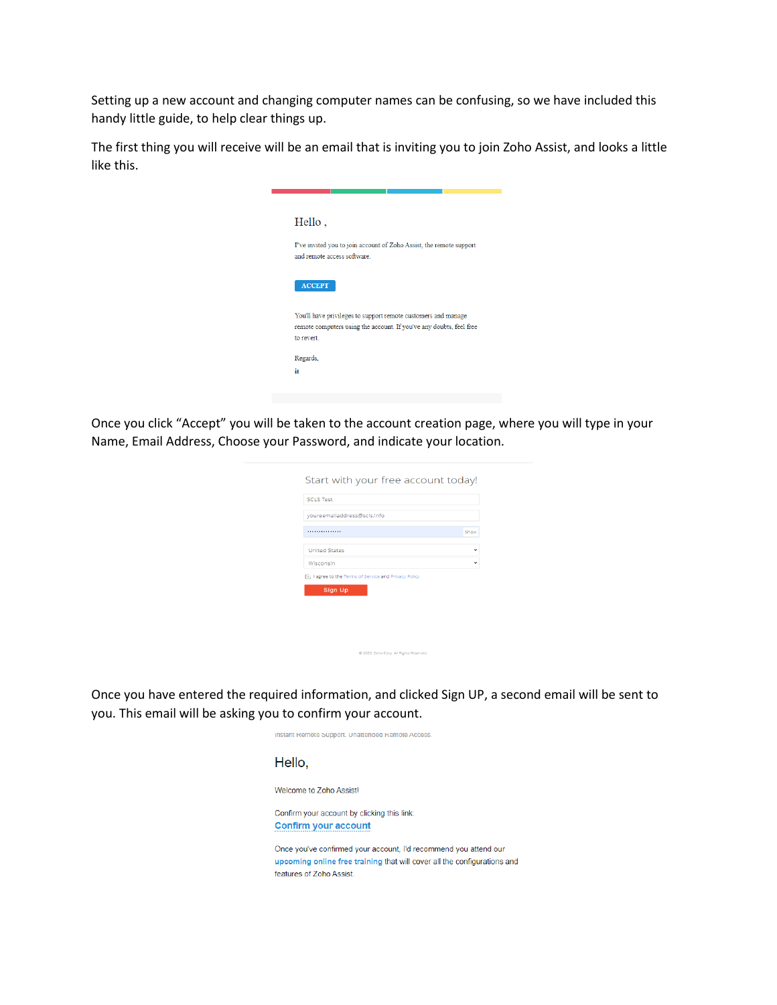Setting up a new account and changing computer names can be confusing, so we have included this handy little guide, to help clear things up.

The first thing you will receive will be an email that is inviting you to join Zoho Assist, and looks a little like this.



Once you click "Accept" you will be taken to the account creation page, where you will type in your Name, Email Address, Choose your Password, and indicate your location.

| <b>SCLS Test</b>                                              |              |
|---------------------------------------------------------------|--------------|
| youreemailaddress@scls.info                                   |              |
| .                                                             | Show         |
| <b>United States</b>                                          | $\checkmark$ |
| Wisconsin                                                     |              |
| I agree to the Terms of Service and Privacy Policy<br>Sign Up |              |
|                                                               |              |
|                                                               |              |

@ 2020, Zoho Corp. All Rights Reserved

Once you have entered the required information, and clicked Sign UP, a second email will be sent to you. This email will be asking you to confirm your account.

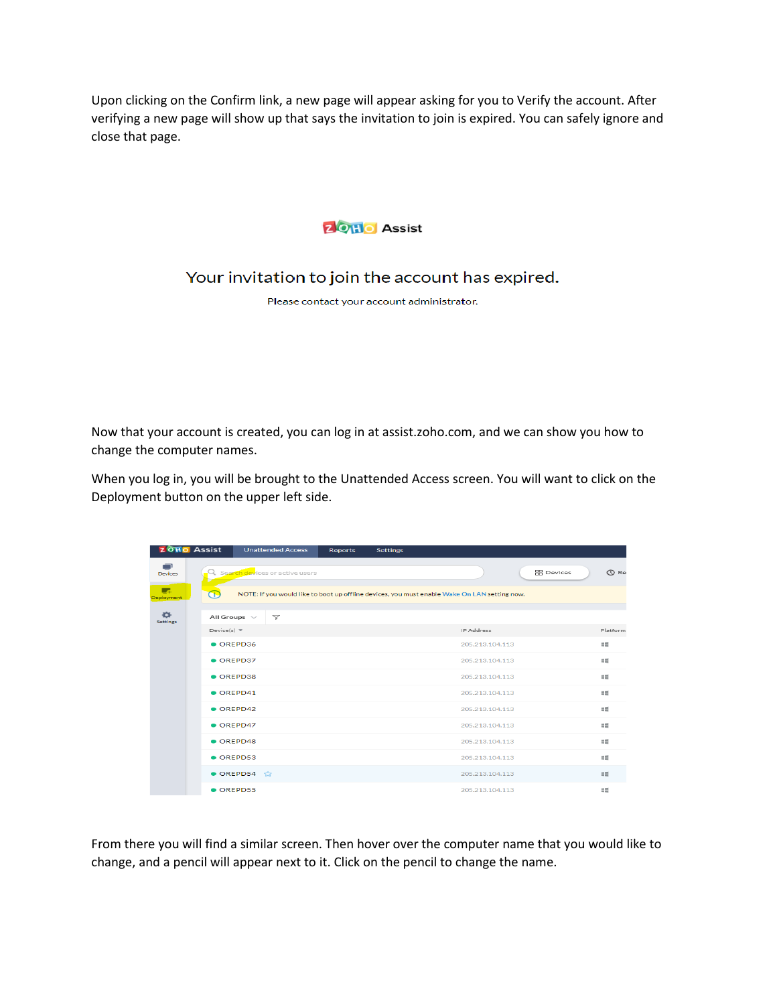Upon clicking on the Confirm link, a new page will appear asking for you to Verify the account. After verifying a new page will show up that says the invitation to join is expired. You can safely ignore and close that page.



Your invitation to join the account has expired.

Please contact your account administrator.

Now that your account is created, you can log in at assist.zoho.com, and we can show you how to change the computer names.

When you log in, you will be brought to the Unattended Access screen. You will want to click on the Deployment button on the upper left side.

| <b>ZOHO</b> Assist             |                                                                                                   | <b>Unattended Access</b>         | <b>Reports</b> | <b>Settings</b> |                   |                                  |  |  |  |  |
|--------------------------------|---------------------------------------------------------------------------------------------------|----------------------------------|----------------|-----------------|-------------------|----------------------------------|--|--|--|--|
| ∍<br><b>Devices</b>            |                                                                                                   | Q Search devices or active users |                |                 |                   | <b>RR</b> Devices<br><b>O</b> Re |  |  |  |  |
| <b>RA</b><br><b>Deployment</b> | Œ<br>NOTE: If you would like to boot up offline devices, you must enable Wake On LAN setting now. |                                  |                |                 |                   |                                  |  |  |  |  |
| 舂<br><b>Settings</b>           | All Groups $\vee$                                                                                 | $\triangledown$                  |                |                 |                   |                                  |  |  |  |  |
|                                | $Device(s) =$                                                                                     |                                  |                |                 | <b>IP Address</b> | Platform                         |  |  |  |  |
|                                | $\bullet$ OREPD36                                                                                 |                                  |                |                 | 205.213.104.113   | $=$                              |  |  |  |  |
|                                | $\bullet$ OREPD37                                                                                 |                                  |                |                 | 205.213.104.113   | $=$                              |  |  |  |  |
|                                | $\bullet$ OREPD38                                                                                 |                                  |                |                 | 205.213.104.113   | $=$                              |  |  |  |  |
|                                | $\bullet$ OREPD41                                                                                 |                                  |                |                 | 205.213.104.113   | 45                               |  |  |  |  |
|                                | $\bullet$ OREPD42                                                                                 |                                  |                |                 | 205.213.104.113   | $\equiv$                         |  |  |  |  |
|                                | OREPD47                                                                                           |                                  |                |                 | 205.213.104.113   | $\equiv$                         |  |  |  |  |
|                                | $\bullet$ OREPD48                                                                                 |                                  |                |                 | 205.213.104.113   | $=$                              |  |  |  |  |
|                                | $\bullet$ OREPD53                                                                                 |                                  |                |                 | 205.213.104.113   | $\approx$                        |  |  |  |  |
|                                |                                                                                                   | $\bullet$ OREPD54                |                |                 | 205.213.104.113   | $=$                              |  |  |  |  |
|                                | $\bullet$ OREPD55                                                                                 |                                  |                |                 | 205.213.104.113   | 45                               |  |  |  |  |

From there you will find a similar screen. Then hover over the computer name that you would like to change, and a pencil will appear next to it. Click on the pencil to change the name.